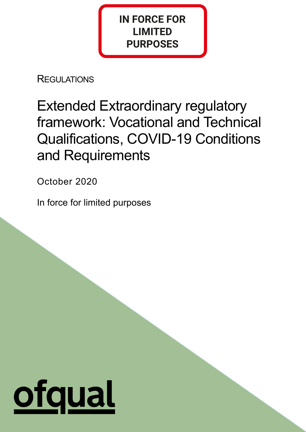# **IN FORCE FOR LIMITED PURPOSES**

**REGULATIONS** 

Extended Extraordinary regulatory framework: Vocational and Technical Qualifications, COVID-19 Conditions and Requirements

1

October 2020

In force for limited purposes

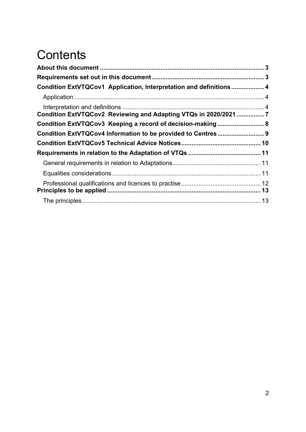# **Contents**

| Condition ExtVTQCov1 Application, Interpretation and definitions  4 |  |
|---------------------------------------------------------------------|--|
|                                                                     |  |
| Condition ExtVTQCov2 Reviewing and Adapting VTQs in 2020/2021 7     |  |
| Condition ExtVTQCov3 Keeping a record of decision-making 8          |  |
| Condition ExtVTQCov4 Information to be provided to Centres 9        |  |
|                                                                     |  |
|                                                                     |  |
|                                                                     |  |
|                                                                     |  |
|                                                                     |  |
|                                                                     |  |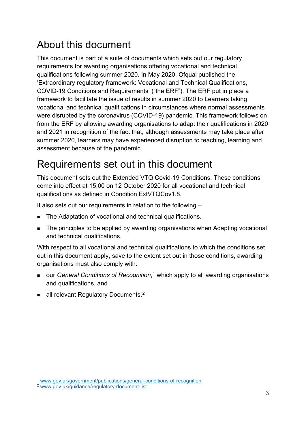# <span id="page-2-0"></span>About this document

This document is part of a suite of documents which sets out our regulatory requirements for awarding organisations offering vocational and technical qualifications following summer 2020. In May 2020, Ofqual published the 'Extraordinary regulatory framework: Vocational and Technical Qualifications, COVID-19 Conditions and Requirements' ("the ERF"). The ERF put in place a framework to facilitate the issue of results in summer 2020 to Learners taking vocational and technical qualifications in circumstances where normal assessments were disrupted by the coronavirus (COVID-19) pandemic. This framework follows on from the ERF by allowing awarding organisations to adapt their qualifications in 2020 and 2021 in recognition of the fact that, although assessments may take place after summer 2020, learners may have experienced disruption to teaching, learning and assessment because of the pandemic.

# <span id="page-2-1"></span>Requirements set out in this document

This document sets out the Extended VTQ Covid-19 Conditions. These conditions come into effect at 15:00 on 12 October 2020 for all vocational and technical qualifications as defined in Condition ExtVTQCov1.8.

It also sets out our requirements in relation to the following –

- The Adaptation of vocational and technical qualifications.
- The principles to be applied by awarding organisations when Adapting vocational and technical qualifications.

With respect to all vocational and technical qualifications to which the conditions set out in this document apply, save to the extent set out in those conditions, awarding organisations must also comply with:

- our *General Conditions of Recognition*,<sup>[1](#page-2-2)</sup> which apply to all awarding organisations and qualifications, and
- all relevant Regulatory Documents.<sup>[2](#page-2-3)</sup>

<span id="page-2-2"></span><sup>1</sup> [www.gov.uk/government/publications/general-conditions-of-recognition](https://www.gov.uk/government/publications/general-conditions-of-recognition)

<span id="page-2-3"></span><sup>2</sup> [www.gov.uk/guidance/regulatory-document-list](https://www.gov.uk/guidance/regulatory-document-list)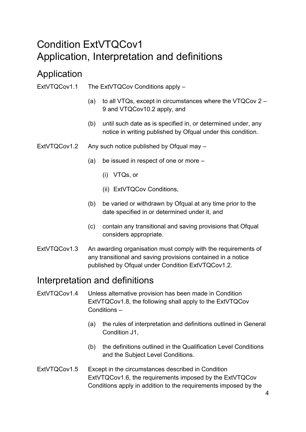### <span id="page-3-0"></span>Condition ExtVTQCov1 Application, Interpretation and definitions

### <span id="page-3-1"></span>Application

- ExtVTQCov1.1 The ExtVTQCov Conditions apply
	- (a) to all VTQs, except in circumstances where the VTQCov 2 9 and VTQCov10.2 apply, and
	- (b) until such date as is specified in, or determined under, any notice in writing published by Ofqual under this condition.
- ExtVTQCov1.2 Any such notice published by Ofqual may
	- (a) be issued in respect of one or more
		- (i) VTQs, or
		- (ii) ExtVTQCov Conditions,
	- (b) be varied or withdrawn by Ofqual at any time prior to the date specified in or determined under it, and
	- (c) contain any transitional and saving provisions that Ofqual considers appropriate.
- ExtVTQCov1.3 An awarding organisation must comply with the requirements of any transitional and saving provisions contained in a notice published by Ofqual under Condition ExtVTQCov1.2.

### <span id="page-3-2"></span>Interpretation and definitions

- ExtVTQCov1.4 Unless alternative provision has been made in Condition ExtVTQCov1.8, the following shall apply to the ExtVTQCov Conditions –
	- (a) the rules of interpretation and definitions outlined in General Condition J1,
	- (b) the definitions outlined in the Qualification Level Conditions and the Subject Level Conditions.
- ExtVTQCov1.5 Except in the circumstances described in Condition ExtVTQCov1.6, the requirements imposed by the ExtVTQCov Conditions apply in addition to the requirements imposed by the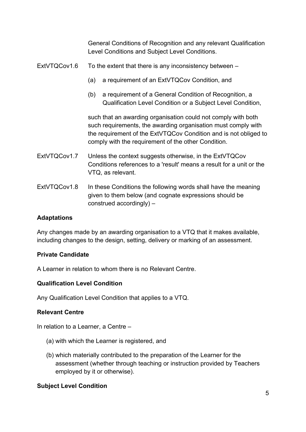General Conditions of Recognition and any relevant Qualification Level Conditions and Subject Level Conditions.

#### ExtVTQCov1.6 To the extent that there is any inconsistency between –

- (a) a requirement of an ExtVTQCov Condition, and
- (b) a requirement of a General Condition of Recognition, a Qualification Level Condition or a Subject Level Condition,

such that an awarding organisation could not comply with both such requirements, the awarding organisation must comply with the requirement of the ExtVTQCov Condition and is not obliged to comply with the requirement of the other Condition.

- ExtVTQCov1.7 Unless the context suggests otherwise, in the ExtVTQCov Conditions references to a 'result' means a result for a unit or the VTQ, as relevant.
- ExtVTQCov1.8 In these Conditions the following words shall have the meaning given to them below (and cognate expressions should be construed accordingly) –

#### **Adaptations**

Any changes made by an awarding organisation to a VTQ that it makes available, including changes to the design, setting, delivery or marking of an assessment.

#### **Private Candidate**

A Learner in relation to whom there is no Relevant Centre.

#### **Qualification Level Condition**

Any Qualification Level Condition that applies to a VTQ.

#### **Relevant Centre**

In relation to a Learner, a Centre –

- (a) with which the Learner is registered, and
- (b) which materially contributed to the preparation of the Learner for the assessment (whether through teaching or instruction provided by Teachers employed by it or otherwise).

#### **Subject Level Condition**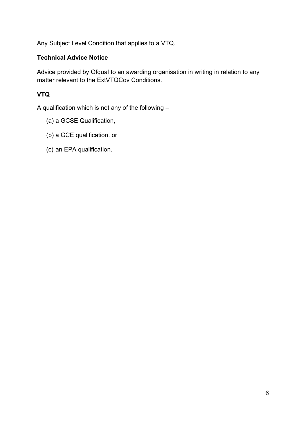Any Subject Level Condition that applies to a VTQ.

#### **Technical Advice Notice**

Advice provided by Ofqual to an awarding organisation in writing in relation to any matter relevant to the ExtVTQCov Conditions.

#### **VTQ**

A qualification which is not any of the following –

- (a) a GCSE Qualification,
- (b) a GCE qualification, or
- (c) an EPA qualification.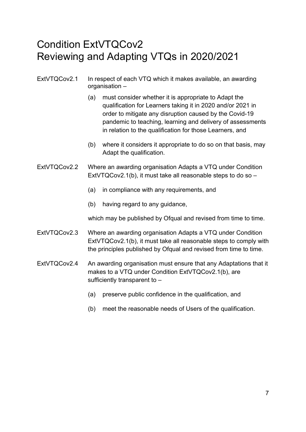### <span id="page-6-0"></span>Condition ExtVTQCov2 Reviewing and Adapting VTQs in 2020/2021

- ExtVTQCov2.1 In respect of each VTQ which it makes available, an awarding organisation –
	- (a) must consider whether it is appropriate to Adapt the qualification for Learners taking it in 2020 and/or 2021 in order to mitigate any disruption caused by the Covid-19 pandemic to teaching, learning and delivery of assessments in relation to the qualification for those Learners, and
	- (b) where it considers it appropriate to do so on that basis, may Adapt the qualification.
- ExtVTQCov2.2 Where an awarding organisation Adapts a VTQ under Condition ExtVTQCov2.1(b), it must take all reasonable steps to do so –
	- (a) in compliance with any requirements, and
	- (b) having regard to any guidance,

which may be published by Ofqual and revised from time to time.

- ExtVTQCov2.3 Where an awarding organisation Adapts a VTQ under Condition ExtVTQCov2.1(b), it must take all reasonable steps to comply with the principles published by Ofqual and revised from time to time.
- ExtVTQCov2.4 An awarding organisation must ensure that any Adaptations that it makes to a VTQ under Condition ExtVTQCov2.1(b), are sufficiently transparent to –
	- (a) preserve public confidence in the qualification, and
	- (b) meet the reasonable needs of Users of the qualification.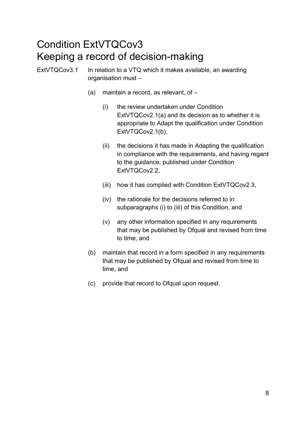### <span id="page-7-0"></span>Condition ExtVTQCov3 Keeping a record of decision-making

ExtVTQCov3.1 In relation to a VTQ which it makes available, an awarding organisation must –

- (a) maintain a record, as relevant, of
	- (i) the review undertaken under Condition ExtVTQCov2.1(a) and its decision as to whether it is appropriate to Adapt the qualification under Condition ExtVTQCov2.1(b),
	- (ii) the decisions it has made in Adapting the qualification in compliance with the requirements, and having regard to the guidance, published under Condition ExtVTQCov2.2,
	- (iii) how it has complied with Condition ExtVTQCov2.3,
	- (iv) the rationale for the decisions referred to in subparagraphs (i) to (iii) of this Condition, and
	- (v) any other information specified in any requirements that may be published by Ofqual and revised from time to time, and
- (b) maintain that record in a form specified in any requirements that may be published by Ofqual and revised from time to time, and
- (c) provide that record to Ofqual upon request.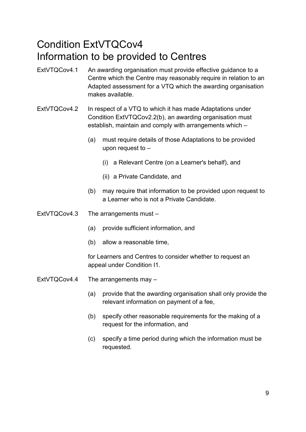### <span id="page-8-0"></span>Condition ExtVTQCov4 Information to be provided to Centres

- ExtVTQCov4.1 An awarding organisation must provide effective guidance to a Centre which the Centre may reasonably require in relation to an Adapted assessment for a VTQ which the awarding organisation makes available.
- ExtVTQCov4.2 In respect of a VTQ to which it has made Adaptations under Condition ExtVTQCov2.2(b), an awarding organisation must establish, maintain and comply with arrangements which –
	- (a) must require details of those Adaptations to be provided upon request to –
		- (i) a Relevant Centre (on a Learner's behalf), and
		- (ii) a Private Candidate, and
	- (b) may require that information to be provided upon request to a Learner who is not a Private Candidate.
- ExtVTQCov4.3 The arrangements must
	- (a) provide sufficient information, and
	- (b) allow a reasonable time,

for Learners and Centres to consider whether to request an appeal under Condition I1.

- ExtVTQCov4.4 The arrangements may
	- (a) provide that the awarding organisation shall only provide the relevant information on payment of a fee,
	- (b) specify other reasonable requirements for the making of a request for the information, and
	- (c) specify a time period during which the information must be requested.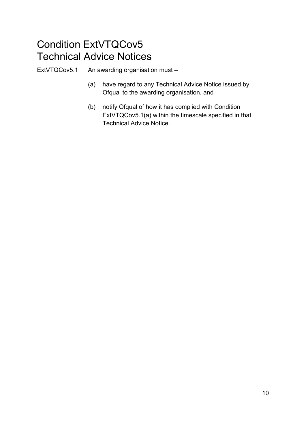### <span id="page-9-0"></span>Condition ExtVTQCov5 Technical Advice Notices

ExtVTQCov5.1 An awarding organisation must –

- (a) have regard to any Technical Advice Notice issued by Ofqual to the awarding organisation, and
- (b) notify Ofqual of how it has complied with Condition ExtVTQCov5.1(a) within the timescale specified in that Technical Advice Notice.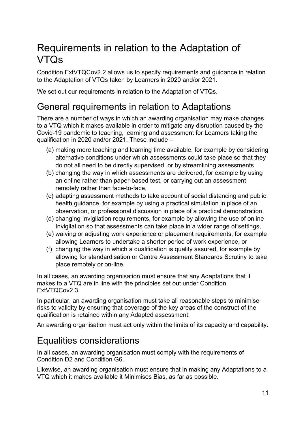# <span id="page-10-0"></span>Requirements in relation to the Adaptation of VTQs

Condition ExtVTQCov2.2 allows us to specify requirements and guidance in relation to the Adaptation of VTQs taken by Learners in 2020 and/or 2021.

We set out our requirements in relation to the Adaptation of VTQs.

### <span id="page-10-1"></span>General requirements in relation to Adaptations

There are a number of ways in which an awarding organisation may make changes to a VTQ which it makes available in order to mitigate any disruption caused by the Covid-19 pandemic to teaching, learning and assessment for Learners taking the qualification in 2020 and/or 2021. These include –

- (a) making more teaching and learning time available, for example by considering alternative conditions under which assessments could take place so that they do not all need to be directly supervised, or by streamlining assessments
- (b) changing the way in which assessments are delivered, for example by using an online rather than paper-based test, or carrying out an assessment remotely rather than face-to-face,
- (c) adapting assessment methods to take account of social distancing and public health guidance, for example by using a practical simulation in place of an observation, or professional discussion in place of a practical demonstration,
- (d) changing Invigilation requirements, for example by allowing the use of online Invigilation so that assessments can take place in a wider range of settings,
- (e) waiving or adjusting work experience or placement requirements, for example allowing Learners to undertake a shorter period of work experience, or
- (f) changing the way in which a qualification is quality assured, for example by allowing for standardisation or Centre Assessment Standards Scrutiny to take place remotely or on-line.

In all cases, an awarding organisation must ensure that any Adaptations that it makes to a VTQ are in line with the principles set out under Condition ExtVTQCov2.3.

In particular, an awarding organisation must take all reasonable steps to minimise risks to validity by ensuring that coverage of the key areas of the construct of the qualification is retained within any Adapted assessment.

An awarding organisation must act only within the limits of its capacity and capability.

### <span id="page-10-2"></span>Equalities considerations

In all cases, an awarding organisation must comply with the requirements of Condition D2 and Condition G6.

Likewise, an awarding organisation must ensure that in making any Adaptations to a VTQ which it makes available it Minimises Bias, as far as possible.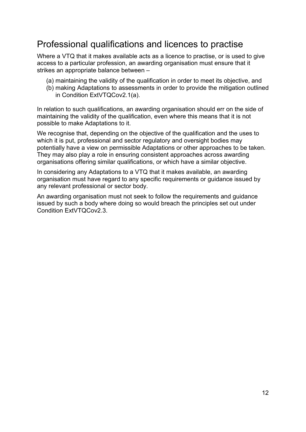### <span id="page-11-0"></span>Professional qualifications and licences to practise

Where a VTQ that it makes available acts as a licence to practise, or is used to give access to a particular profession, an awarding organisation must ensure that it strikes an appropriate balance between –

- (a) maintaining the validity of the qualification in order to meet its objective, and
- (b) making Adaptations to assessments in order to provide the mitigation outlined in Condition ExtVTQCov2.1(a).

In relation to such qualifications, an awarding organisation should err on the side of maintaining the validity of the qualification, even where this means that it is not possible to make Adaptations to it.

We recognise that, depending on the objective of the qualification and the uses to which it is put, professional and sector regulatory and oversight bodies may potentially have a view on permissible Adaptations or other approaches to be taken. They may also play a role in ensuring consistent approaches across awarding organisations offering similar qualifications, or which have a similar objective.

In considering any Adaptations to a VTQ that it makes available, an awarding organisation must have regard to any specific requirements or guidance issued by any relevant professional or sector body.

An awarding organisation must not seek to follow the requirements and guidance issued by such a body where doing so would breach the principles set out under Condition ExtVTQCov2.3.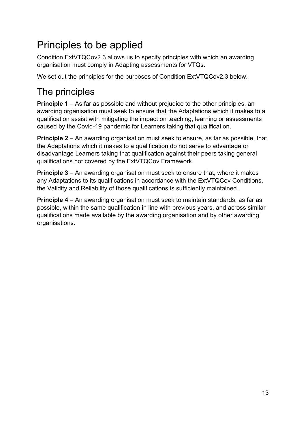# <span id="page-12-0"></span>Principles to be applied

Condition ExtVTQCov2.3 allows us to specify principles with which an awarding organisation must comply in Adapting assessments for VTQs.

We set out the principles for the purposes of Condition ExtVTQCov2.3 below.

### <span id="page-12-1"></span>The principles

**Principle 1** – As far as possible and without prejudice to the other principles, an awarding organisation must seek to ensure that the Adaptations which it makes to a qualification assist with mitigating the impact on teaching, learning or assessments caused by the Covid-19 pandemic for Learners taking that qualification.

**Principle 2** – An awarding organisation must seek to ensure, as far as possible, that the Adaptations which it makes to a qualification do not serve to advantage or disadvantage Learners taking that qualification against their peers taking general qualifications not covered by the ExtVTQCov Framework.

**Principle 3** – An awarding organisation must seek to ensure that, where it makes any Adaptations to its qualifications in accordance with the ExtVTQCov Conditions, the Validity and Reliability of those qualifications is sufficiently maintained.

**Principle 4** – An awarding organisation must seek to maintain standards, as far as possible, within the same qualification in line with previous years, and across similar qualifications made available by the awarding organisation and by other awarding organisations.